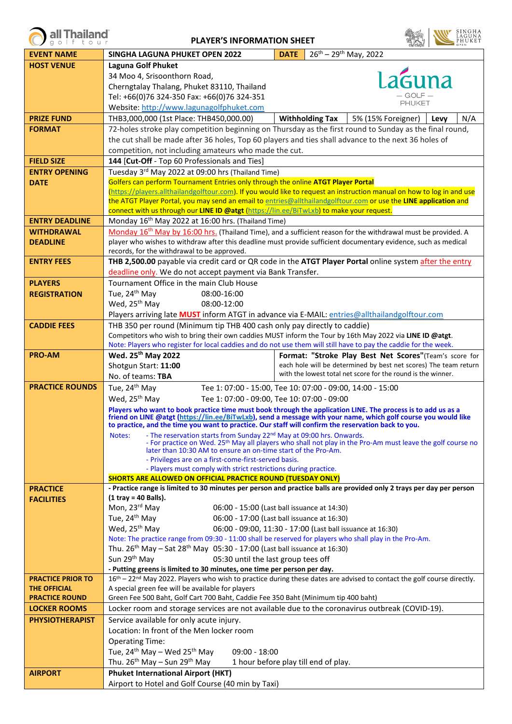| <b>PLAYER'S INFORMATION SHEET</b> |                                                                                                                                                                                                                              |             |                                                                                                                                                                                                                                              |
|-----------------------------------|------------------------------------------------------------------------------------------------------------------------------------------------------------------------------------------------------------------------------|-------------|----------------------------------------------------------------------------------------------------------------------------------------------------------------------------------------------------------------------------------------------|
| <b>EVENT NAME</b>                 | SINGHA LAGUNA PHUKET OPEN 2022                                                                                                                                                                                               | <b>DATE</b> | $26^{th}$ – 29 <sup>th</sup> May, 2022                                                                                                                                                                                                       |
| <b>HOST VENUE</b>                 | <b>Laguna Golf Phuket</b>                                                                                                                                                                                                    |             |                                                                                                                                                                                                                                              |
|                                   | 34 Moo 4, Srisoonthorn Road,                                                                                                                                                                                                 |             | suna                                                                                                                                                                                                                                         |
|                                   | Cherngtalay Thalang, Phuket 83110, Thailand                                                                                                                                                                                  |             |                                                                                                                                                                                                                                              |
|                                   | Tel: +66(0)76 324-350 Fax: +66(0)76 324-351                                                                                                                                                                                  |             | PHUKET                                                                                                                                                                                                                                       |
|                                   | Website: http://www.lagunagolfphuket.com                                                                                                                                                                                     |             |                                                                                                                                                                                                                                              |
| <b>PRIZE FUND</b>                 | THB3,000,000 (1st Place: THB450,000.00)                                                                                                                                                                                      |             | <b>Withholding Tax</b><br>5% (15% Foreigner)<br>N/A<br>Levy                                                                                                                                                                                  |
| <b>FORMAT</b>                     |                                                                                                                                                                                                                              |             | 72-holes stroke play competition beginning on Thursday as the first round to Sunday as the final round,                                                                                                                                      |
|                                   | the cut shall be made after 36 holes, Top 60 players and ties shall advance to the next 36 holes of                                                                                                                          |             |                                                                                                                                                                                                                                              |
| <b>FIELD SIZE</b>                 | competition, not including amateurs who made the cut.<br>144 [Cut-Off - Top 60 Professionals and Ties]                                                                                                                       |             |                                                                                                                                                                                                                                              |
| <b>ENTRY OPENING</b>              | Tuesday 3rd May 2022 at 09:00 hrs (Thailand Time)                                                                                                                                                                            |             |                                                                                                                                                                                                                                              |
| <b>DATE</b>                       | Golfers can perform Tournament Entries only through the online ATGT Player Portal                                                                                                                                            |             |                                                                                                                                                                                                                                              |
|                                   | (https://players.allthailandgolftour.com). If you would like to request an instruction manual on how to log in and use                                                                                                       |             |                                                                                                                                                                                                                                              |
|                                   |                                                                                                                                                                                                                              |             | the ATGT Player Portal, you may send an email to entries@allthailandgolftour.com or use the LINE application and                                                                                                                             |
|                                   | connect with us through our LINE ID @atgt (https://lin.ee/BiTwLxb) to make your request.                                                                                                                                     |             |                                                                                                                                                                                                                                              |
| <b>ENTRY DEADLINE</b>             | Monday 16 <sup>th</sup> May 2022 at 16:00 hrs. (Thailand Time)                                                                                                                                                               |             |                                                                                                                                                                                                                                              |
| <b>WITHDRAWAL</b>                 |                                                                                                                                                                                                                              |             | Monday 16 <sup>th</sup> May by 16:00 hrs. (Thailand Time), and a sufficient reason for the withdrawal must be provided. A<br>player who wishes to withdraw after this deadline must provide sufficient documentary evidence, such as medical |
| <b>DEADLINE</b>                   | records, for the withdrawal to be approved.                                                                                                                                                                                  |             |                                                                                                                                                                                                                                              |
| <b>ENTRY FEES</b>                 |                                                                                                                                                                                                                              |             | THB 2,500.00 payable via credit card or QR code in the ATGT Player Portal online system after the entry                                                                                                                                      |
|                                   | deadline only. We do not accept payment via Bank Transfer.                                                                                                                                                                   |             |                                                                                                                                                                                                                                              |
| <b>PLAYERS</b>                    | Tournament Office in the main Club House                                                                                                                                                                                     |             |                                                                                                                                                                                                                                              |
| <b>REGISTRATION</b>               | Tue, 24 <sup>th</sup> May<br>08:00-16:00                                                                                                                                                                                     |             |                                                                                                                                                                                                                                              |
|                                   | Wed, 25 <sup>th</sup> May<br>08:00-12:00                                                                                                                                                                                     |             |                                                                                                                                                                                                                                              |
|                                   | Players arriving late <b>MUST</b> inform ATGT in advance via E-MAIL: entries@allthailandgolftour.com                                                                                                                         |             |                                                                                                                                                                                                                                              |
| <b>CADDIE FEES</b>                | THB 350 per round (Minimum tip THB 400 cash only pay directly to caddie)                                                                                                                                                     |             |                                                                                                                                                                                                                                              |
|                                   | Competitors who wish to bring their own caddies MUST inform the Tour by 16th May 2022 via LINE ID @atgt.<br>Note: Players who register for local caddies and do not use them will still have to pay the caddie for the week. |             |                                                                                                                                                                                                                                              |
| <b>PRO-AM</b>                     | Wed. 25 <sup>th</sup> May 2022                                                                                                                                                                                               |             | Format: "Stroke Play Best Net Scores"(Team's score for                                                                                                                                                                                       |
|                                   | Shotgun Start: 11:00                                                                                                                                                                                                         |             | each hole will be determined by best net scores) The team return                                                                                                                                                                             |
|                                   | No. of teams: TBA                                                                                                                                                                                                            |             | with the lowest total net score for the round is the winner.                                                                                                                                                                                 |
| <b>PRACTICE ROUNDS</b>            | Tue, 24 <sup>th</sup> May                                                                                                                                                                                                    |             | Tee 1: 07:00 - 15:00, Tee 10: 07:00 - 09:00, 14:00 - 15:00                                                                                                                                                                                   |
|                                   | Wed, 25 <sup>th</sup> May<br>Tee 1: 07:00 - 09:00, Tee 10: 07:00 - 09:00                                                                                                                                                     |             |                                                                                                                                                                                                                                              |
|                                   | Players who want to book practice time must book through the application LINE. The process is to add us as a                                                                                                                 |             |                                                                                                                                                                                                                                              |
|                                   | to practice, and the time you want to practice. Our staff will confirm the reservation back to you.                                                                                                                          |             | friend on LINE @atgt (https://lin.ee/BiTwLxb), send a message with your name, which golf course you would like                                                                                                                               |
|                                   | Notes:<br>- The reservation starts from Sunday 22 <sup>nd</sup> May at 09:00 hrs. Onwards.                                                                                                                                   |             |                                                                                                                                                                                                                                              |
|                                   | - For practice on Wed. 25 <sup>th</sup> May all players who shall not play in the Pro-Am must leave the golf course no<br>later than 10:30 AM to ensure an on-time start of the Pro-Am.                                      |             |                                                                                                                                                                                                                                              |
|                                   | - Privileges are on a first-come-first-served basis.                                                                                                                                                                         |             |                                                                                                                                                                                                                                              |
|                                   | - Players must comply with strict restrictions during practice.                                                                                                                                                              |             |                                                                                                                                                                                                                                              |
|                                   | SHORTS ARE ALLOWED ON OFFICIAL PRACTICE ROUND (TUESDAY ONLY)                                                                                                                                                                 |             |                                                                                                                                                                                                                                              |
| <b>PRACTICE</b>                   | $(1$ tray = 40 Balls).                                                                                                                                                                                                       |             | - Practice range is limited to 30 minutes per person and practice balls are provided only 2 trays per day per person                                                                                                                         |
| <b>FACILITIES</b>                 | Mon, 23rd May<br>06:00 - 15:00 (Last ball issuance at 14:30)                                                                                                                                                                 |             |                                                                                                                                                                                                                                              |
|                                   | Tue, 24 <sup>th</sup> May<br>06:00 - 17:00 (Last ball issuance at 16:30)                                                                                                                                                     |             |                                                                                                                                                                                                                                              |
|                                   | Wed, 25 <sup>th</sup> May                                                                                                                                                                                                    |             | 06:00 - 09:00, 11:30 - 17:00 (Last ball issuance at 16:30)                                                                                                                                                                                   |
|                                   | Note: The practice range from 09:30 - 11:00 shall be reserved for players who shall play in the Pro-Am.                                                                                                                      |             |                                                                                                                                                                                                                                              |
|                                   | Thu. 26 <sup>th</sup> May - Sat 28 <sup>th</sup> May 05:30 - 17:00 (Last ball issuance at 16:30)                                                                                                                             |             |                                                                                                                                                                                                                                              |
|                                   | Sun 29 <sup>th</sup> May<br>05:30 until the last group tees off                                                                                                                                                              |             |                                                                                                                                                                                                                                              |
| <b>PRACTICE PRIOR TO</b>          | - Putting greens is limited to 30 minutes, one time per person per day.                                                                                                                                                      |             | 16th – 22 <sup>nd</sup> May 2022. Players who wish to practice during these dates are advised to contact the golf course directly.                                                                                                           |
| <b>THE OFFICIAL</b>               | A special green fee will be available for players                                                                                                                                                                            |             |                                                                                                                                                                                                                                              |
| <b>PRACTICE ROUND</b>             | Green Fee 500 Baht, Golf Cart 700 Baht, Caddie Fee 350 Baht (Minimum tip 400 baht)                                                                                                                                           |             |                                                                                                                                                                                                                                              |
| <b>LOCKER ROOMS</b>               | Locker room and storage services are not available due to the coronavirus outbreak (COVID-19).                                                                                                                               |             |                                                                                                                                                                                                                                              |
| <b>PHYSIOTHERAPIST</b>            | Service available for only acute injury.                                                                                                                                                                                     |             |                                                                                                                                                                                                                                              |
|                                   | Location: In front of the Men locker room                                                                                                                                                                                    |             |                                                                                                                                                                                                                                              |
|                                   | <b>Operating Time:</b>                                                                                                                                                                                                       |             |                                                                                                                                                                                                                                              |
|                                   | Tue, $24^{th}$ May – Wed $25^{th}$ May<br>$09:00 - 18:00$                                                                                                                                                                    |             |                                                                                                                                                                                                                                              |
|                                   | Thu. $26^{th}$ May - Sun $29^{th}$ May                                                                                                                                                                                       |             | 1 hour before play till end of play.                                                                                                                                                                                                         |
| <b>AIRPORT</b>                    | <b>Phuket International Airport (HKT)</b>                                                                                                                                                                                    |             |                                                                                                                                                                                                                                              |
|                                   | Airport to Hotel and Golf Course (40 min by Taxi)                                                                                                                                                                            |             |                                                                                                                                                                                                                                              |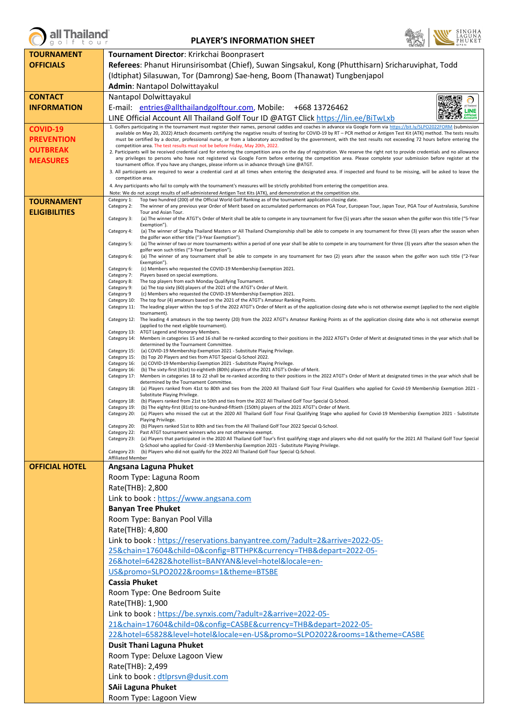

## **PLAYER'S INFORMATION SHEET**



| <b>TOURNAMENT</b>     | Tournament Director: Krirkchai Boonprasert                                                                                                                                                                                                                                                                                                              |  |  |
|-----------------------|---------------------------------------------------------------------------------------------------------------------------------------------------------------------------------------------------------------------------------------------------------------------------------------------------------------------------------------------------------|--|--|
| <b>OFFICIALS</b>      | Referees: Phanut Hirunsirisombat (Chief), Suwan Singsakul, Kong (Phutthisarn) Sricharuviphat, Todd                                                                                                                                                                                                                                                      |  |  |
|                       | (Idtiphat) Silasuwan, Tor (Damrong) Sae-heng, Boom (Thanawat) Tungbenjapol                                                                                                                                                                                                                                                                              |  |  |
|                       | Admin: Nantapol Dolwittayakul                                                                                                                                                                                                                                                                                                                           |  |  |
| <b>CONTACT</b>        | Nantapol Dolwittayakul<br>回燃砲<br>$\odot$                                                                                                                                                                                                                                                                                                                |  |  |
| <b>INFORMATION</b>    | E-mail: entries@allthailandgolftour.com, Mobile: +668 13726462<br><b>LINE</b>                                                                                                                                                                                                                                                                           |  |  |
|                       | <b>Official</b><br>LINE Official Account All Thailand Golf Tour ID @ATGT Click https://lin.ee/BiTwLxb                                                                                                                                                                                                                                                   |  |  |
| <b>COVID-19</b>       | 1. Golfers participating in the tournament must register their names, personal caddies and coaches in advance via Google Form via https://bit.ly/SLPO2022FORM (submission<br>available on May 20, 2022) Attach documents certifying the negative results of testing for COVID-19 by RT - PCR method or Antigen Test Kit (ATK) method. The tests results |  |  |
| <b>PREVENTION</b>     | must be certified by a doctor, professional nurse, or from a laboratory accredited by the government, with the test results not exceeding 72 hours before entering the                                                                                                                                                                                  |  |  |
| OUTBREAK              | competition area. The test results must not be before Friday, May 20th, 2022.<br>2. Participants will be received credential card for entering the competition area on the day of registration. We reserve the right not to provide credentials and no allowance                                                                                        |  |  |
| <b>MEASURES</b>       | any privileges to persons who have not registered via Google Form before entering the competition area. Please complete your submission before register at the<br>tournament office. If you have any changes, please inform us in advance through Line @ATGT.                                                                                           |  |  |
|                       | 3. All participants are required to wear a credential card at all times when entering the designated area. If inspected and found to be missing, will be asked to leave the                                                                                                                                                                             |  |  |
|                       | competition area.<br>4. Any participants who fail to comply with the tournament's measures will be strictly prohibited from entering the competition area.                                                                                                                                                                                              |  |  |
|                       | Note: We do not accept results of self-administered Antigen Test Kits (ATK), and demonstration at the competition site.                                                                                                                                                                                                                                 |  |  |
| <b>TOURNAMENT</b>     | Top two hundred (200) of the Official World Golf Ranking as of the tournament application closing date.<br>Category 1:<br>Category 2:<br>The winner of any previous year Order of Merit based on accumulated performances on PGA Tour, European Tour, Japan Tour, PGA Tour of Australasia, Sunshine                                                     |  |  |
| <b>ELIGIBILITIES</b>  | Tour and Asian Tour.<br>Category 3:<br>(a) The winner of the ATGT's Order of Merit shall be able to compete in any tournament for five (5) years after the season when the golfer won this title ("5-Year                                                                                                                                               |  |  |
|                       | Exemption").                                                                                                                                                                                                                                                                                                                                            |  |  |
|                       | (a) The winner of Singha Thailand Masters or All Thailand Championship shall be able to compete in any tournament for three (3) years after the season when<br>Category 4:<br>the golfer won either title ("3-Year Exemption").                                                                                                                         |  |  |
|                       | (a) The winner of two or more tournaments within a period of one year shall be able to compete in any tournament for three (3) years after the season when the<br>Category 5:<br>golfer won such titles ("3-Year Exemption").                                                                                                                           |  |  |
|                       | (a) The winner of any tournament shall be able to compete in any tournament for two (2) years after the season when the golfer won such title ("2-Year<br>Category 6:                                                                                                                                                                                   |  |  |
|                       | Exemption").<br>Category 6:<br>(c) Members who requested the COVID-19 Membership Exemption 2021.                                                                                                                                                                                                                                                        |  |  |
|                       | Category 7:<br>Players based on special exemptions.<br>The top players from each Monday Qualifying Tournament.<br>Category 8:                                                                                                                                                                                                                           |  |  |
|                       | Category 9:<br>(a) The top sixty (60) players of the 2021 of the ATGT's Order of Merit.                                                                                                                                                                                                                                                                 |  |  |
|                       | (c) Members who requested the COVID-19 Membership Exemption 2021.<br>Category 9<br>Category 10:<br>The top four (4) amateurs based on the 2021 of the ATGT's Amateur Ranking Points.                                                                                                                                                                    |  |  |
|                       | Category 11:<br>The leading player within the top 5 of the 2022 ATGT's Order of Merit as of the application closing date who is not otherwise exempt (applied to the next eligible<br>tournament).                                                                                                                                                      |  |  |
|                       | Category 12: The leading 4 amateurs in the top twenty (20) from the 2022 ATGT's Amateur Ranking Points as of the application closing date who is not otherwise exempt<br>(applied to the next eligible tournament).                                                                                                                                     |  |  |
|                       | Category 13: ATGT Legend and Honorary Members.                                                                                                                                                                                                                                                                                                          |  |  |
|                       | Category 14:<br>Members in categories 15 and 16 shall be re-ranked according to their positions in the 2022 ATGT's Order of Merit at designated times in the year which shall be<br>determined by the Tournament Committee.                                                                                                                             |  |  |
|                       | (a) COVID-19 Membership Exemption 2021 - Substitute Playing Privilege.<br>Category 15:<br>Category 15:<br>(b) Top 20 Players and ties from ATGT Special Q-School 2022.                                                                                                                                                                                  |  |  |
|                       | Category 16:<br>(a) COVID-19 Membership Exemption 2021 - Substitute Playing Privilege.<br>(b) The sixty-first (61st) to eightieth (80th) players of the 2021 ATGT's Order of Merit.<br>Category 16:                                                                                                                                                     |  |  |
|                       | Category 17: Members in categories 18 to 22 shall be re-ranked according to their positions in the 2022 ATGT's Order of Merit at designated times in the year which shall be                                                                                                                                                                            |  |  |
|                       | determined by the Tournament Committee.<br>(a) Players ranked from 41st to 80th and ties from the 2020 All Thailand Golf Tour Final Qualifiers who applied for Covid-19 Membership Exemption 2021 -<br>Category 18:                                                                                                                                     |  |  |
|                       | Substitute Playing Privilege.<br>(b) Players ranked from 21st to 50th and ties from the 2022 All Thailand Golf Tour Special Q-School.<br>Category 18:                                                                                                                                                                                                   |  |  |
|                       | Category 19:<br>(b) The eighty-first (81st) to one-hundred-fiftieth (150th) players of the 2021 ATGT's Order of Merit.                                                                                                                                                                                                                                  |  |  |
|                       | Category 20:<br>(a) Players who missed the cut at the 2020 All Thailand Golf Tour Final Qualifying Stage who applied for Covid-19 Membership Exemption 2021 - Substitute<br>Playing Privilege.                                                                                                                                                          |  |  |
|                       | Category 20: (b) Players ranked 51st to 80th and ties from the All Thailand Golf Tour 2022 Special Q-School.<br>Category 22: Past ATGT tournament winners who are not otherwise exempt.                                                                                                                                                                 |  |  |
|                       | Category 23: (a) Players that participated in the 2020 All Thailand Golf Tour's first qualifying stage and players who did not qualify for the 2021 All Thailand Golf Tour Special<br>Q-School who applied for Covid -19 Membership Exemption 2021 - Substitute Playing Privilege.                                                                      |  |  |
|                       | Category 23: (b) Players who did not qualify for the 2022 All Thailand Golf Tour Special Q-School.                                                                                                                                                                                                                                                      |  |  |
| <b>OFFICIAL HOTEL</b> | <b>Affiliated Member</b>                                                                                                                                                                                                                                                                                                                                |  |  |
|                       | Angsana Laguna Phuket<br>Room Type: Laguna Room                                                                                                                                                                                                                                                                                                         |  |  |
|                       | Rate(THB): 2,800                                                                                                                                                                                                                                                                                                                                        |  |  |
|                       | Link to book: https://www.angsana.com<br><b>Banyan Tree Phuket</b><br>Room Type: Banyan Pool Villa<br>Rate(THB): 4,800                                                                                                                                                                                                                                  |  |  |
|                       |                                                                                                                                                                                                                                                                                                                                                         |  |  |
|                       |                                                                                                                                                                                                                                                                                                                                                         |  |  |
|                       |                                                                                                                                                                                                                                                                                                                                                         |  |  |
|                       | Link to book: https://reservations.banyantree.com/?adult=2&arrive=2022-05-                                                                                                                                                                                                                                                                              |  |  |
|                       | 25&chain=17604&child=0&config=BTTHPK&currency=THB&depart=2022-05-                                                                                                                                                                                                                                                                                       |  |  |
|                       | 26&hotel=64282&hotellist=BANYAN&level=hotel&locale=en-                                                                                                                                                                                                                                                                                                  |  |  |
|                       | US&promo=SLPO2022&rooms=1&theme=BTSBE                                                                                                                                                                                                                                                                                                                   |  |  |
|                       | Cassia Phuket                                                                                                                                                                                                                                                                                                                                           |  |  |
|                       | Room Type: One Bedroom Suite                                                                                                                                                                                                                                                                                                                            |  |  |
|                       | Rate(THB): 1,900                                                                                                                                                                                                                                                                                                                                        |  |  |
|                       | Link to book: https://be.synxis.com/?adult=2&arrive=2022-05-                                                                                                                                                                                                                                                                                            |  |  |
|                       | 21&chain=17604&child=0&config=CASBE&currency=THB&depart=2022-05-                                                                                                                                                                                                                                                                                        |  |  |
|                       | 22&hotel=65828&level=hotel&locale=en-US&promo=SLPO2022&rooms=1&theme=CASBE                                                                                                                                                                                                                                                                              |  |  |
|                       | <b>Dusit Thani Laguna Phuket</b>                                                                                                                                                                                                                                                                                                                        |  |  |
|                       | Room Type: Deluxe Lagoon View                                                                                                                                                                                                                                                                                                                           |  |  |
|                       | Rate(THB): 2,499                                                                                                                                                                                                                                                                                                                                        |  |  |
|                       | Link to book: dtlprsvn@dusit.com                                                                                                                                                                                                                                                                                                                        |  |  |
|                       | SAii Laguna Phuket                                                                                                                                                                                                                                                                                                                                      |  |  |
|                       | Room Type: Lagoon View                                                                                                                                                                                                                                                                                                                                  |  |  |